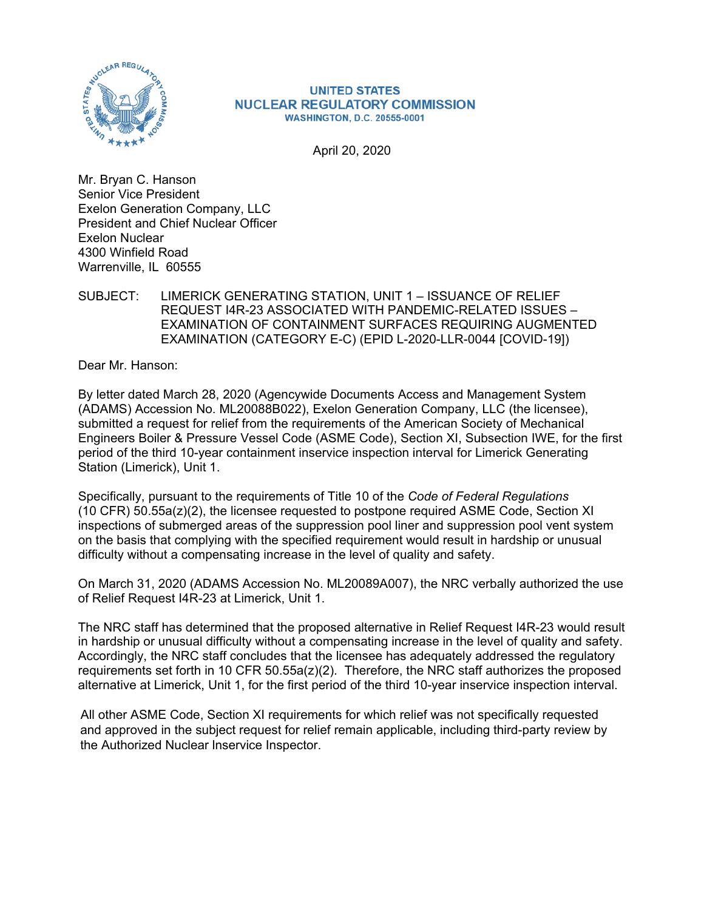

#### **UNITED STATES NUCLEAR REGULATORY COMMISSION WASHINGTON, D.C. 20555-0001**

April 20, 2020

Mr. Bryan C. Hanson Senior Vice President Exelon Generation Company, LLC President and Chief Nuclear Officer Exelon Nuclear 4300 Winfield Road Warrenville, IL 60555

#### SUBJECT: LIMERICK GENERATING STATION, UNIT 1 – ISSUANCE OF RELIEF REQUEST I4R-23 ASSOCIATED WITH PANDEMIC-RELATED ISSUES – EXAMINATION OF CONTAINMENT SURFACES REQUIRING AUGMENTED EXAMINATION (CATEGORY E-C) (EPID L-2020-LLR-0044 [COVID-19])

Dear Mr. Hanson:

By letter dated March 28, 2020 (Agencywide Documents Access and Management System (ADAMS) Accession No. ML20088B022), Exelon Generation Company, LLC (the licensee), submitted a request for relief from the requirements of the American Society of Mechanical Engineers Boiler & Pressure Vessel Code (ASME Code), Section XI, Subsection IWE, for the first period of the third 10-year containment inservice inspection interval for Limerick Generating Station (Limerick), Unit 1.

Specifically, pursuant to the requirements of Title 10 of the *Code of Federal Regulations* (10 CFR) 50.55a(z)(2), the licensee requested to postpone required ASME Code, Section XI inspections of submerged areas of the suppression pool liner and suppression pool vent system on the basis that complying with the specified requirement would result in hardship or unusual difficulty without a compensating increase in the level of quality and safety.

On March 31, 2020 (ADAMS Accession No. ML20089A007), the NRC verbally authorized the use of Relief Request I4R-23 at Limerick, Unit 1.

The NRC staff has determined that the proposed alternative in Relief Request I4R-23 would result in hardship or unusual difficulty without a compensating increase in the level of quality and safety. Accordingly, the NRC staff concludes that the licensee has adequately addressed the regulatory requirements set forth in 10 CFR  $50.55a(z)(2)$ . Therefore, the NRC staff authorizes the proposed alternative at Limerick, Unit 1, for the first period of the third 10-year inservice inspection interval.

All other ASME Code, Section XI requirements for which relief was not specifically requested and approved in the subject request for relief remain applicable, including third-party review by the Authorized Nuclear lnservice Inspector.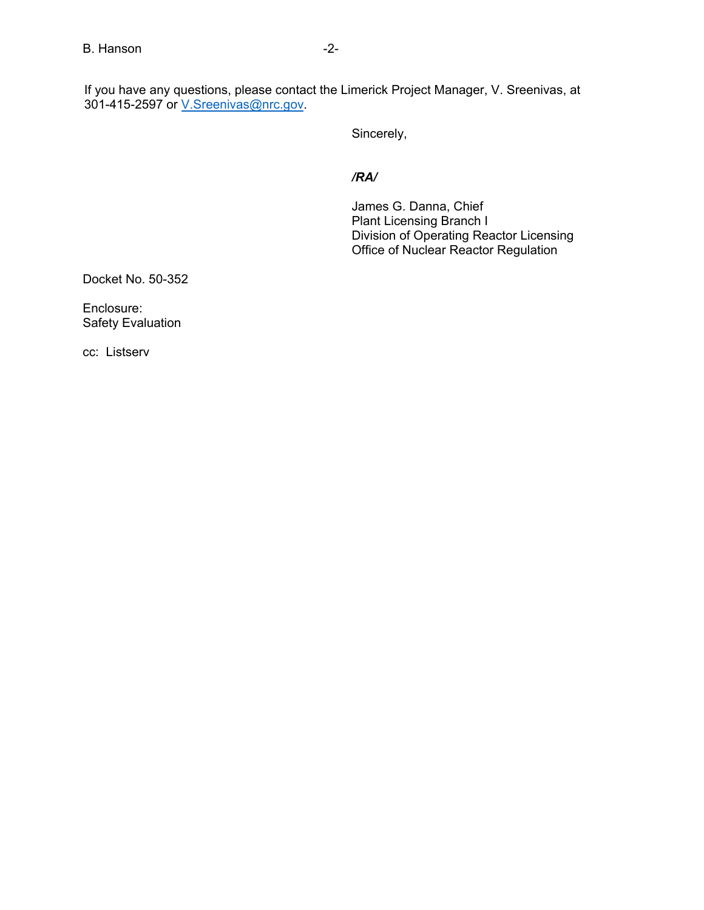If you have any questions, please contact the Limerick Project Manager, V. Sreenivas, at 301-415-2597 or **V.Sreenivas@nrc.gov.** 

Sincerely,

### */RA/*

James G. Danna, Chief Plant Licensing Branch I Division of Operating Reactor Licensing Office of Nuclear Reactor Regulation

Docket No. 50-352

Enclosure: Safety Evaluation

cc: Listserv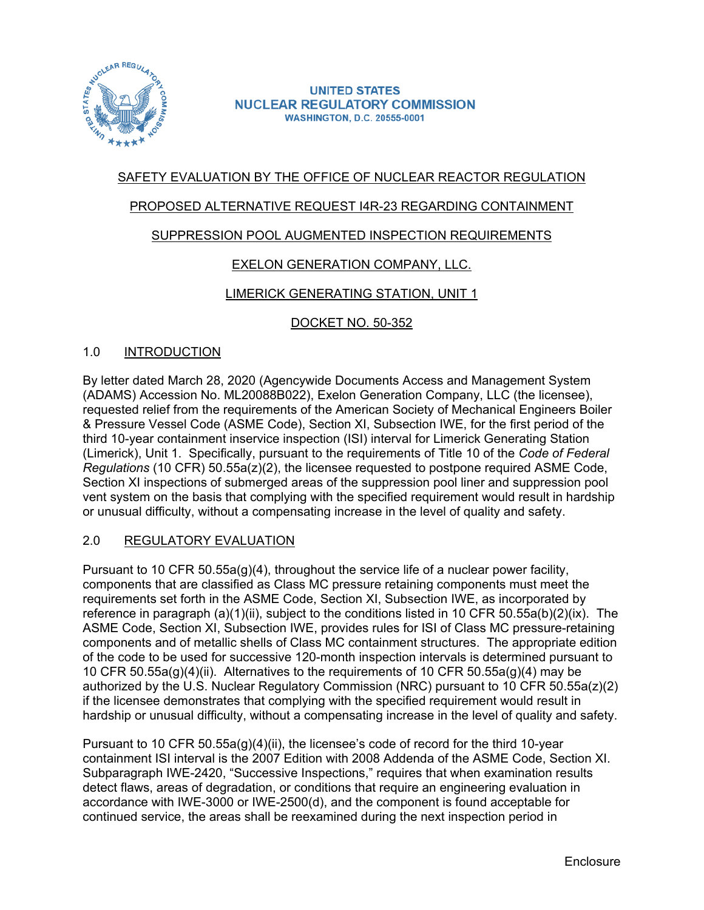

#### **UNITED STATES NUCLEAR REGULATORY COMMISSION WASHINGTON, D.C. 20555-0001**

# SAFETY EVALUATION BY THE OFFICE OF NUCLEAR REACTOR REGULATION

# PROPOSED ALTERNATIVE REQUEST I4R-23 REGARDING CONTAINMENT

# SUPPRESSION POOL AUGMENTED INSPECTION REQUIREMENTS

# EXELON GENERATION COMPANY, LLC.

# LIMERICK GENERATING STATION, UNIT 1

DOCKET NO. 50-352

### 1.0 INTRODUCTION

By letter dated March 28, 2020 (Agencywide Documents Access and Management System (ADAMS) Accession No. ML20088B022), Exelon Generation Company, LLC (the licensee), requested relief from the requirements of the American Society of Mechanical Engineers Boiler & Pressure Vessel Code (ASME Code), Section XI, Subsection IWE, for the first period of the third 10-year containment inservice inspection (ISI) interval for Limerick Generating Station (Limerick), Unit 1. Specifically, pursuant to the requirements of Title 10 of the *Code of Federal Regulations* (10 CFR) 50.55a(z)(2), the licensee requested to postpone required ASME Code, Section XI inspections of submerged areas of the suppression pool liner and suppression pool vent system on the basis that complying with the specified requirement would result in hardship or unusual difficulty, without a compensating increase in the level of quality and safety.

### 2.0 REGULATORY EVALUATION

Pursuant to 10 CFR 50.55a(g)(4), throughout the service life of a nuclear power facility, components that are classified as Class MC pressure retaining components must meet the requirements set forth in the ASME Code, Section XI, Subsection IWE, as incorporated by reference in paragraph (a)(1)(ii), subject to the conditions listed in 10 CFR 50.55a(b)(2)(ix). The ASME Code, Section XI, Subsection IWE, provides rules for ISI of Class MC pressure-retaining components and of metallic shells of Class MC containment structures. The appropriate edition of the code to be used for successive 120-month inspection intervals is determined pursuant to 10 CFR 50.55a(g)(4)(ii). Alternatives to the requirements of 10 CFR 50.55a(g)(4) may be authorized by the U.S. Nuclear Regulatory Commission (NRC) pursuant to 10 CFR 50.55a(z)(2) if the licensee demonstrates that complying with the specified requirement would result in hardship or unusual difficulty, without a compensating increase in the level of quality and safety.

Pursuant to 10 CFR 50.55a(g)(4)(ii), the licensee's code of record for the third 10-year containment ISI interval is the 2007 Edition with 2008 Addenda of the ASME Code, Section XI. Subparagraph IWE-2420, "Successive Inspections," requires that when examination results detect flaws, areas of degradation, or conditions that require an engineering evaluation in accordance with IWE-3000 or IWE-2500(d), and the component is found acceptable for continued service, the areas shall be reexamined during the next inspection period in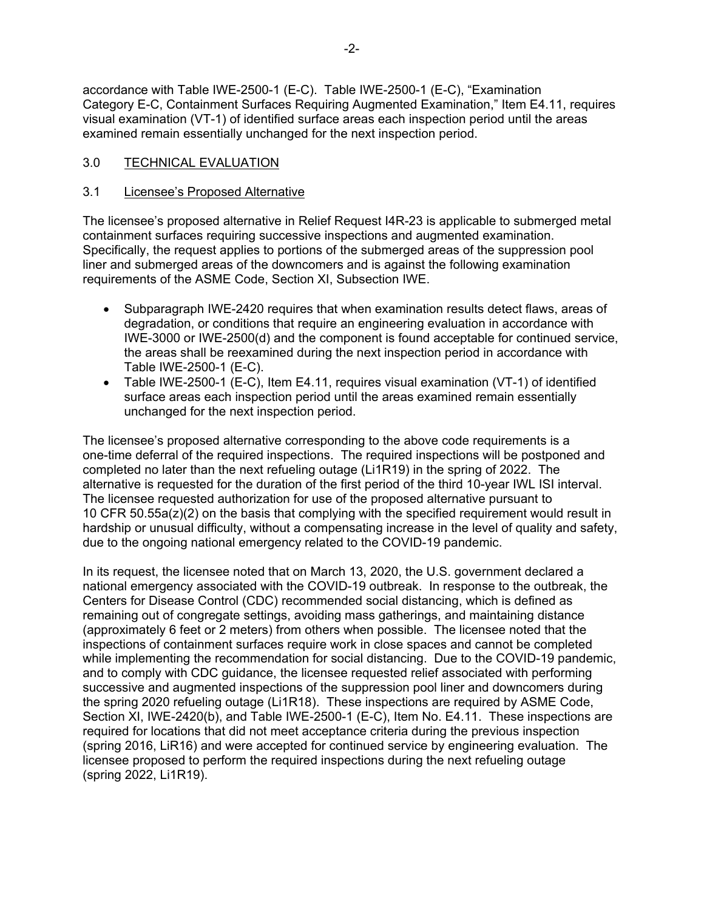accordance with Table IWE-2500-1 (E-C). Table IWE-2500-1 (E-C), "Examination Category E-C, Containment Surfaces Requiring Augmented Examination," Item E4.11, requires visual examination (VT-1) of identified surface areas each inspection period until the areas examined remain essentially unchanged for the next inspection period.

# 3.0 TECHNICAL EVALUATION

### 3.1 Licensee's Proposed Alternative

The licensee's proposed alternative in Relief Request I4R-23 is applicable to submerged metal containment surfaces requiring successive inspections and augmented examination. Specifically, the request applies to portions of the submerged areas of the suppression pool liner and submerged areas of the downcomers and is against the following examination requirements of the ASME Code, Section XI, Subsection IWE.

- Subparagraph IWE-2420 requires that when examination results detect flaws, areas of degradation, or conditions that require an engineering evaluation in accordance with IWE-3000 or IWE-2500(d) and the component is found acceptable for continued service, the areas shall be reexamined during the next inspection period in accordance with Table IWE-2500-1 (E-C).
- Table IWE-2500-1 (E-C), Item E4.11, requires visual examination (VT-1) of identified surface areas each inspection period until the areas examined remain essentially unchanged for the next inspection period.

The licensee's proposed alternative corresponding to the above code requirements is a one-time deferral of the required inspections. The required inspections will be postponed and completed no later than the next refueling outage (Li1R19) in the spring of 2022. The alternative is requested for the duration of the first period of the third 10-year IWL ISI interval. The licensee requested authorization for use of the proposed alternative pursuant to 10 CFR 50.55a(z)(2) on the basis that complying with the specified requirement would result in hardship or unusual difficulty, without a compensating increase in the level of quality and safety, due to the ongoing national emergency related to the COVID-19 pandemic.

In its request, the licensee noted that on March 13, 2020, the U.S. government declared a national emergency associated with the COVID-19 outbreak. In response to the outbreak, the Centers for Disease Control (CDC) recommended social distancing, which is defined as remaining out of congregate settings, avoiding mass gatherings, and maintaining distance (approximately 6 feet or 2 meters) from others when possible. The licensee noted that the inspections of containment surfaces require work in close spaces and cannot be completed while implementing the recommendation for social distancing. Due to the COVID-19 pandemic, and to comply with CDC guidance, the licensee requested relief associated with performing successive and augmented inspections of the suppression pool liner and downcomers during the spring 2020 refueling outage (Li1R18). These inspections are required by ASME Code, Section XI, IWE-2420(b), and Table IWE-2500-1 (E-C), Item No. E4.11. These inspections are required for locations that did not meet acceptance criteria during the previous inspection (spring 2016, LiR16) and were accepted for continued service by engineering evaluation. The licensee proposed to perform the required inspections during the next refueling outage (spring 2022, Li1R19).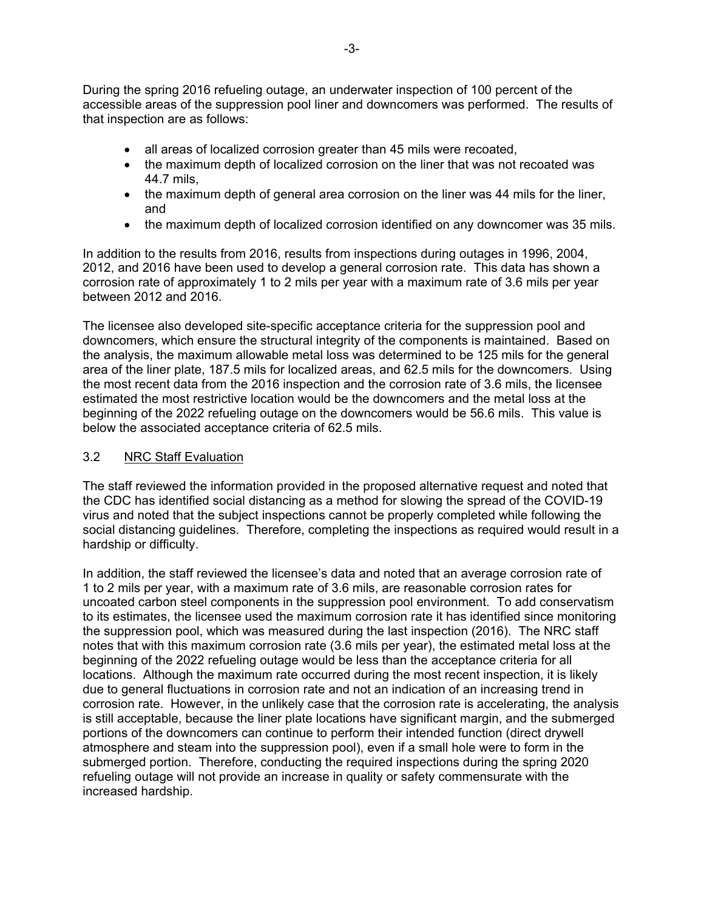During the spring 2016 refueling outage, an underwater inspection of 100 percent of the accessible areas of the suppression pool liner and downcomers was performed. The results of that inspection are as follows:

- all areas of localized corrosion greater than 45 mils were recoated,
- the maximum depth of localized corrosion on the liner that was not recoated was 44.7 mils,
- the maximum depth of general area corrosion on the liner was 44 mils for the liner, and
- the maximum depth of localized corrosion identified on any downcomer was 35 mils.

In addition to the results from 2016, results from inspections during outages in 1996, 2004, 2012, and 2016 have been used to develop a general corrosion rate. This data has shown a corrosion rate of approximately 1 to 2 mils per year with a maximum rate of 3.6 mils per year between 2012 and 2016.

The licensee also developed site-specific acceptance criteria for the suppression pool and downcomers, which ensure the structural integrity of the components is maintained. Based on the analysis, the maximum allowable metal loss was determined to be 125 mils for the general area of the liner plate, 187.5 mils for localized areas, and 62.5 mils for the downcomers. Using the most recent data from the 2016 inspection and the corrosion rate of 3.6 mils, the licensee estimated the most restrictive location would be the downcomers and the metal loss at the beginning of the 2022 refueling outage on the downcomers would be 56.6 mils. This value is below the associated acceptance criteria of 62.5 mils.

### 3.2 NRC Staff Evaluation

The staff reviewed the information provided in the proposed alternative request and noted that the CDC has identified social distancing as a method for slowing the spread of the COVID-19 virus and noted that the subject inspections cannot be properly completed while following the social distancing guidelines. Therefore, completing the inspections as required would result in a hardship or difficulty.

In addition, the staff reviewed the licensee's data and noted that an average corrosion rate of 1 to 2 mils per year, with a maximum rate of 3.6 mils, are reasonable corrosion rates for uncoated carbon steel components in the suppression pool environment. To add conservatism to its estimates, the licensee used the maximum corrosion rate it has identified since monitoring the suppression pool, which was measured during the last inspection (2016). The NRC staff notes that with this maximum corrosion rate (3.6 mils per year), the estimated metal loss at the beginning of the 2022 refueling outage would be less than the acceptance criteria for all locations. Although the maximum rate occurred during the most recent inspection, it is likely due to general fluctuations in corrosion rate and not an indication of an increasing trend in corrosion rate. However, in the unlikely case that the corrosion rate is accelerating, the analysis is still acceptable, because the liner plate locations have significant margin, and the submerged portions of the downcomers can continue to perform their intended function (direct drywell atmosphere and steam into the suppression pool), even if a small hole were to form in the submerged portion. Therefore, conducting the required inspections during the spring 2020 refueling outage will not provide an increase in quality or safety commensurate with the increased hardship.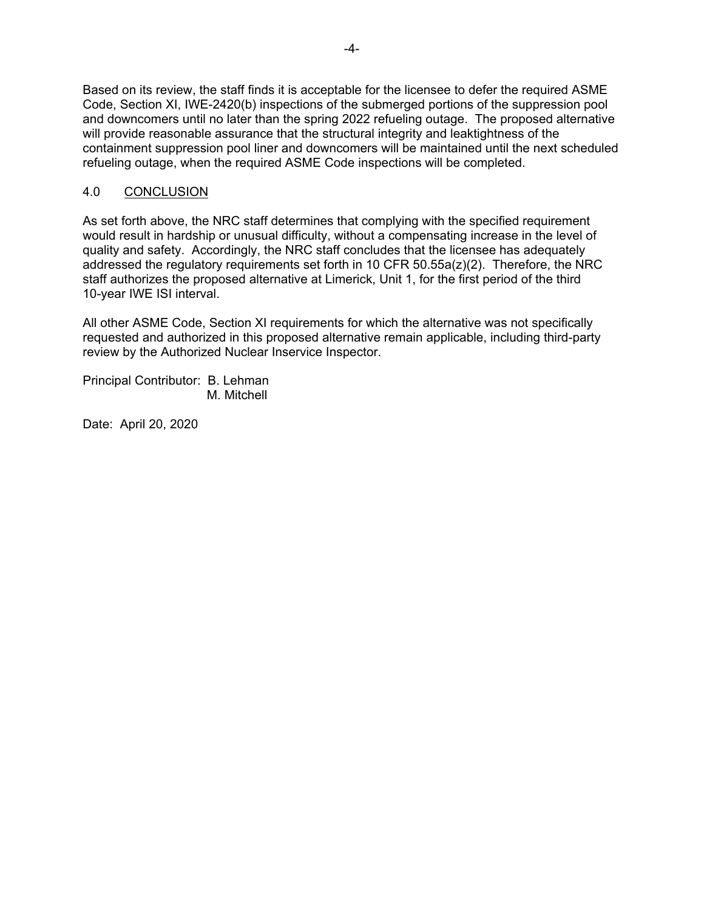Based on its review, the staff finds it is acceptable for the licensee to defer the required ASME Code, Section XI, IWE-2420(b) inspections of the submerged portions of the suppression pool and downcomers until no later than the spring 2022 refueling outage. The proposed alternative will provide reasonable assurance that the structural integrity and leaktightness of the containment suppression pool liner and downcomers will be maintained until the next scheduled refueling outage, when the required ASME Code inspections will be completed.

# 4.0 CONCLUSION

As set forth above, the NRC staff determines that complying with the specified requirement would result in hardship or unusual difficulty, without a compensating increase in the level of quality and safety. Accordingly, the NRC staff concludes that the licensee has adequately addressed the regulatory requirements set forth in 10 CFR 50.55a(z)(2). Therefore, the NRC staff authorizes the proposed alternative at Limerick, Unit 1, for the first period of the third 10-year IWE ISI interval.

All other ASME Code, Section XI requirements for which the alternative was not specifically requested and authorized in this proposed alternative remain applicable, including third-party review by the Authorized Nuclear Inservice Inspector.

Principal Contributor: B. Lehman M. Mitchell

Date: April 20, 2020